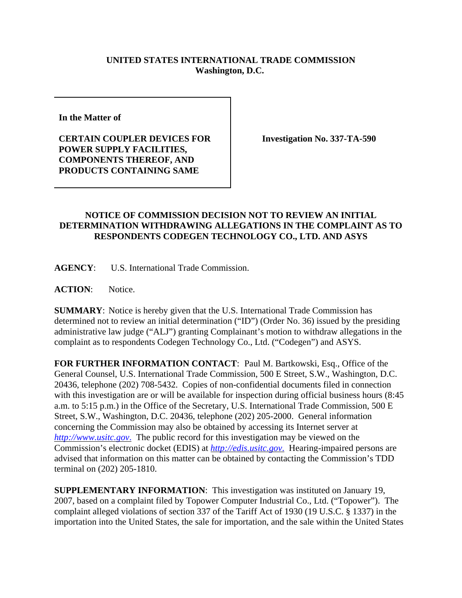## **UNITED STATES INTERNATIONAL TRADE COMMISSION Washington, D.C.**

**In the Matter of** 

**CERTAIN COUPLER DEVICES FOR POWER SUPPLY FACILITIES, COMPONENTS THEREOF, AND PRODUCTS CONTAINING SAME**

**Investigation No. 337-TA-590**

## **NOTICE OF COMMISSION DECISION NOT TO REVIEW AN INITIAL DETERMINATION WITHDRAWING ALLEGATIONS IN THE COMPLAINT AS TO RESPONDENTS CODEGEN TECHNOLOGY CO., LTD. AND ASYS**

**AGENCY**: U.S. International Trade Commission.

**ACTION**: Notice.

**SUMMARY**: Notice is hereby given that the U.S. International Trade Commission has determined not to review an initial determination ("ID") (Order No. 36) issued by the presiding administrative law judge ("ALJ") granting Complainant's motion to withdraw allegations in the complaint as to respondents Codegen Technology Co., Ltd. ("Codegen") and ASYS.

**FOR FURTHER INFORMATION CONTACT**: Paul M. Bartkowski, Esq., Office of the General Counsel, U.S. International Trade Commission, 500 E Street, S.W., Washington, D.C. 20436, telephone (202) 708-5432. Copies of non-confidential documents filed in connection with this investigation are or will be available for inspection during official business hours (8:45) a.m. to 5:15 p.m.) in the Office of the Secretary, U.S. International Trade Commission, 500 E Street, S.W., Washington, D.C. 20436, telephone (202) 205-2000. General information concerning the Commission may also be obtained by accessing its Internet server at *http://www.usitc.gov*. The public record for this investigation may be viewed on the Commission's electronic docket (EDIS) at *http://edis.usitc.gov*. Hearing-impaired persons are advised that information on this matter can be obtained by contacting the Commission's TDD terminal on (202) 205-1810.

**SUPPLEMENTARY INFORMATION**: This investigation was instituted on January 19, 2007, based on a complaint filed by Topower Computer Industrial Co., Ltd. ("Topower"). The complaint alleged violations of section 337 of the Tariff Act of 1930 (19 U.S.C. § 1337) in the importation into the United States, the sale for importation, and the sale within the United States